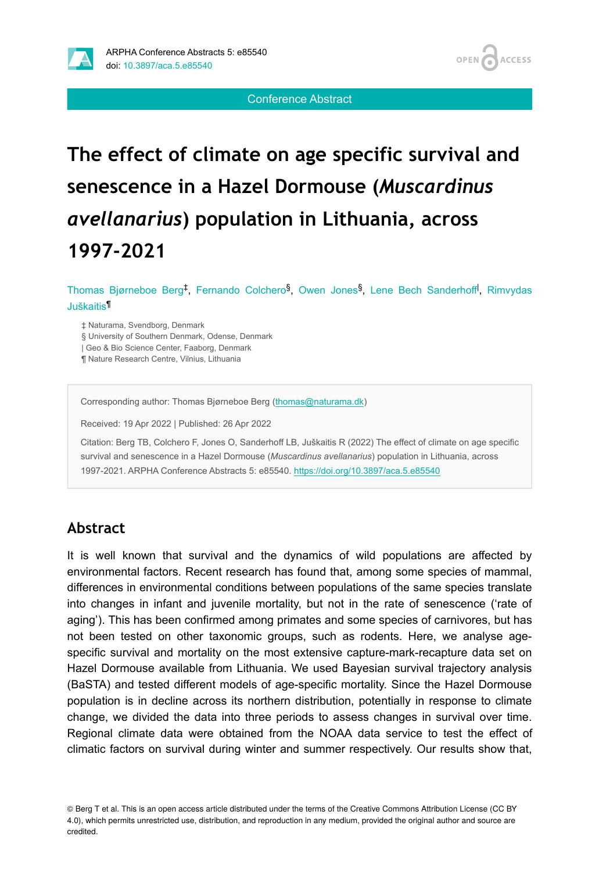

Conference Abstract

# **The effect of climate on age specific survival and senescence in a Hazel Dormouse (***Muscardinus avellanarius***) population in Lithuania, across 1997-2021**

Thomas Bjørneboe Berg<sup>‡</sup>, Fernando Colchero<sup>§</sup>, Owen Jones<sup>§</sup>, Lene Bech Sanderhoff<sup>†</sup>, Rimvydas Juškaitis ¶

‡ Naturama, Svendborg, Denmark

§ University of Southern Denmark, Odense, Denmark

| Geo & Bio Science Center, Faaborg, Denmark

¶ Nature Research Centre, Vilnius, Lithuania

Corresponding author: Thomas Bjørneboe Berg ([thomas@naturama.dk\)](mailto:thomas@naturama.dk)

Received: 19 Apr 2022 | Published: 26 Apr 2022

Citation: Berg TB, Colchero F, Jones O, Sanderhoff LB, Juškaitis R (2022) The effect of climate on age specific survival and senescence in a Hazel Dormouse (*Muscardinus avellanarius*) population in Lithuania, across 1997-2021. ARPHA Conference Abstracts 5: e85540.<https://doi.org/10.3897/aca.5.e85540>

#### **Abstract**

It is well known that survival and the dynamics of wild populations are affected by environmental factors. Recent research has found that, among some species of mammal, differences in environmental conditions between populations of the same species translate into changes in infant and juvenile mortality, but not in the rate of senescence ('rate of aging'). This has been confirmed among primates and some species of carnivores, but has not been tested on other taxonomic groups, such as rodents. Here, we analyse agespecific survival and mortality on the most extensive capture-mark-recapture data set on Hazel Dormouse available from Lithuania. We used Bayesian survival trajectory analysis (BaSTA) and tested different models of age-specific mortality. Since the Hazel Dormouse population is in decline across its northern distribution, potentially in response to climate change, we divided the data into three periods to assess changes in survival over time. Regional climate data were obtained from the NOAA data service to test the effect of climatic factors on survival during winter and summer respectively. Our results show that,

© Berg T et al. This is an open access article distributed under the terms of the Creative Commons Attribution License (CC BY 4.0), which permits unrestricted use, distribution, and reproduction in any medium, provided the original author and source are credited.